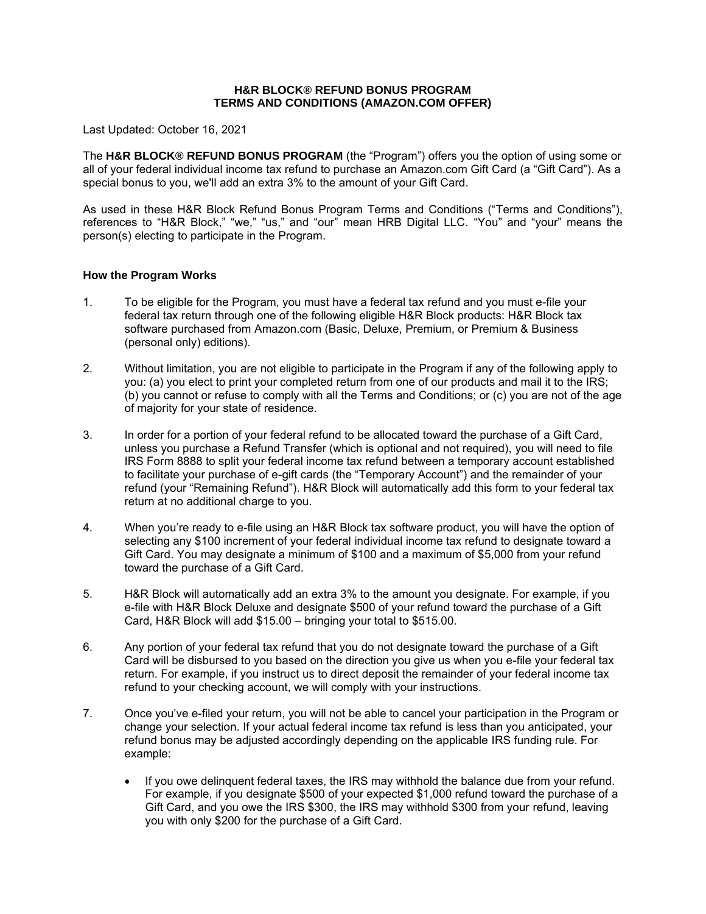#### **H&R BLOCK® REFUND BONUS PROGRAM TERMS AND CONDITIONS (AMAZON.COM OFFER)**

Last Updated: October 16, 2021

The **H&R BLOCK® REFUND BONUS PROGRAM** (the "Program") offers you the option of using some or all of your federal individual income tax refund to purchase an Amazon.com Gift Card (a "Gift Card"). As a special bonus to you, we'll add an extra 3% to the amount of your Gift Card.

As used in these H&R Block Refund Bonus Program Terms and Conditions ("Terms and Conditions"), references to "H&R Block," "we," "us," and "our" mean HRB Digital LLC. "You" and "your" means the person(s) electing to participate in the Program.

#### **How the Program Works**

- 1. To be eligible for the Program, you must have a federal tax refund and you must e-file your federal tax return through one of the following eligible H&R Block products: H&R Block tax software purchased from Amazon.com (Basic, Deluxe, Premium, or Premium & Business (personal only) editions).
- 2. Without limitation, you are not eligible to participate in the Program if any of the following apply to you: (a) you elect to print your completed return from one of our products and mail it to the IRS; (b) you cannot or refuse to comply with all the Terms and Conditions; or (c) you are not of the age of majority for your state of residence.
- 3. In order for a portion of your federal refund to be allocated toward the purchase of a Gift Card, unless you purchase a Refund Transfer (which is optional and not required), you will need to file IRS Form 8888 to split your federal income tax refund between a temporary account established to facilitate your purchase of e-gift cards (the "Temporary Account") and the remainder of your refund (your "Remaining Refund"). H&R Block will automatically add this form to your federal tax return at no additional charge to you.
- 4. When you're ready to e-file using an H&R Block tax software product, you will have the option of selecting any \$100 increment of your federal individual income tax refund to designate toward a Gift Card. You may designate a minimum of \$100 and a maximum of \$5,000 from your refund toward the purchase of a Gift Card.
- 5. H&R Block will automatically add an extra 3% to the amount you designate. For example, if you e-file with H&R Block Deluxe and designate \$500 of your refund toward the purchase of a Gift Card, H&R Block will add \$15.00 – bringing your total to \$515.00.
- 6. Any portion of your federal tax refund that you do not designate toward the purchase of a Gift Card will be disbursed to you based on the direction you give us when you e-file your federal tax return. For example, if you instruct us to direct deposit the remainder of your federal income tax refund to your checking account, we will comply with your instructions.
- 7. Once you've e-filed your return, you will not be able to cancel your participation in the Program or change your selection. If your actual federal income tax refund is less than you anticipated, your refund bonus may be adjusted accordingly depending on the applicable IRS funding rule. For example:
	- If you owe delinquent federal taxes, the IRS may withhold the balance due from your refund. For example, if you designate \$500 of your expected \$1,000 refund toward the purchase of a Gift Card, and you owe the IRS \$300, the IRS may withhold \$300 from your refund, leaving you with only \$200 for the purchase of a Gift Card.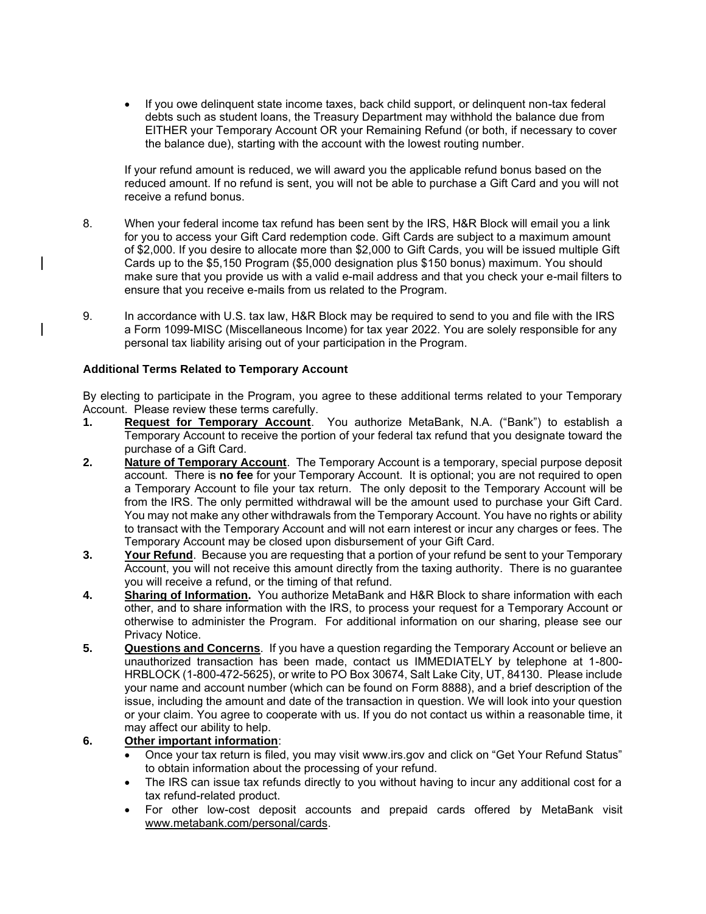• If you owe delinquent state income taxes, back child support, or delinquent non-tax federal debts such as student loans, the Treasury Department may withhold the balance due from EITHER your Temporary Account OR your Remaining Refund (or both, if necessary to cover the balance due), starting with the account with the lowest routing number.

If your refund amount is reduced, we will award you the applicable refund bonus based on the reduced amount. If no refund is sent, you will not be able to purchase a Gift Card and you will not receive a refund bonus.

- 8. When your federal income tax refund has been sent by the IRS, H&R Block will email you a link for you to access your Gift Card redemption code. Gift Cards are subject to a maximum amount of \$2,000. If you desire to allocate more than \$2,000 to Gift Cards, you will be issued multiple Gift Cards up to the \$5,150 Program (\$5,000 designation plus \$150 bonus) maximum. You should make sure that you provide us with a valid e-mail address and that you check your e-mail filters to ensure that you receive e-mails from us related to the Program.
- 9. In accordance with U.S. tax law, H&R Block may be required to send to you and file with the IRS a Form 1099-MISC (Miscellaneous Income) for tax year 2022. You are solely responsible for any personal tax liability arising out of your participation in the Program.

# **Additional Terms Related to Temporary Account**

By electing to participate in the Program, you agree to these additional terms related to your Temporary Account. Please review these terms carefully.

- **1. Request for Temporary Account**. You authorize MetaBank, N.A. ("Bank") to establish a Temporary Account to receive the portion of your federal tax refund that you designate toward the purchase of a Gift Card.
- **2. Nature of Temporary Account**. The Temporary Account is a temporary, special purpose deposit account. There is **no fee** for your Temporary Account. It is optional; you are not required to open a Temporary Account to file your tax return. The only deposit to the Temporary Account will be from the IRS. The only permitted withdrawal will be the amount used to purchase your Gift Card. You may not make any other withdrawals from the Temporary Account. You have no rights or ability to transact with the Temporary Account and will not earn interest or incur any charges or fees. The Temporary Account may be closed upon disbursement of your Gift Card.
- **3. Your Refund**. Because you are requesting that a portion of your refund be sent to your Temporary Account, you will not receive this amount directly from the taxing authority. There is no guarantee you will receive a refund, or the timing of that refund.
- **4. Sharing of Information.** You authorize MetaBank and H&R Block to share information with each other, and to share information with the IRS, to process your request for a Temporary Account or otherwise to administer the Program. For additional information on our sharing, please see our Privacy Notice.
- **5. Questions and Concerns**. If you have a question regarding the Temporary Account or believe an unauthorized transaction has been made, contact us IMMEDIATELY by telephone at 1-800- HRBLOCK (1-800-472-5625), or write to PO Box 30674, Salt Lake City, UT, 84130. Please include your name and account number (which can be found on Form 8888), and a brief description of the issue, including the amount and date of the transaction in question. We will look into your question or your claim. You agree to cooperate with us. If you do not contact us within a reasonable time, it may affect our ability to help.
- **6. Other important information**:
	- Once your tax return is filed, you may visit [www.irs.gov](http://www.irs.gov/) and click on "Get Your Refund Status" to obtain information about the processing of your refund.
	- The IRS can issue tax refunds directly to you without having to incur any additional cost for a tax refund-related product.
	- For other low-cost deposit accounts and prepaid cards offered by MetaBank visit www.metabank.com/personal/cards.